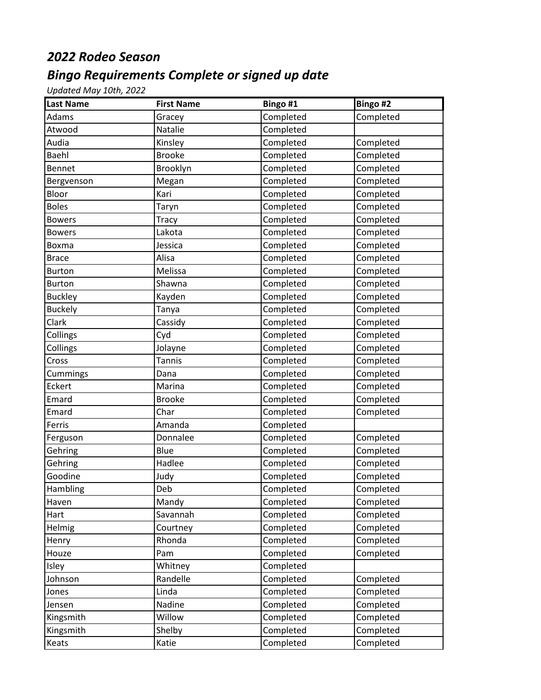## *2022 Rodeo Season*

## *Bingo Requirements Complete or signed up date*

*Updated May 10th, 2022*

| <b>Last Name</b> | <b>First Name</b> | Bingo #1  | Bingo #2  |
|------------------|-------------------|-----------|-----------|
| Adams            | Gracey            | Completed | Completed |
| Atwood           | Natalie           | Completed |           |
| Audia            | Kinsley           | Completed | Completed |
| Baehl            | <b>Brooke</b>     | Completed | Completed |
| Bennet           | Brooklyn          | Completed | Completed |
| Bergvenson       | Megan             | Completed | Completed |
| Bloor            | Kari              | Completed | Completed |
| <b>Boles</b>     | Taryn             | Completed | Completed |
| <b>Bowers</b>    | Tracy             | Completed | Completed |
| <b>Bowers</b>    | Lakota            | Completed | Completed |
| Boxma            | Jessica           | Completed | Completed |
| <b>Brace</b>     | Alisa             | Completed | Completed |
| <b>Burton</b>    | Melissa           | Completed | Completed |
| <b>Burton</b>    | Shawna            | Completed | Completed |
| <b>Buckley</b>   | Kayden            | Completed | Completed |
| <b>Buckely</b>   | Tanya             | Completed | Completed |
| Clark            | Cassidy           | Completed | Completed |
| Collings         | Cyd               | Completed | Completed |
| Collings         | Jolayne           | Completed | Completed |
| Cross            | <b>Tannis</b>     | Completed | Completed |
| Cummings         | Dana              | Completed | Completed |
| Eckert           | Marina            | Completed | Completed |
| Emard            | <b>Brooke</b>     | Completed | Completed |
| Emard            | Char              | Completed | Completed |
| Ferris           | Amanda            | Completed |           |
| Ferguson         | Donnalee          | Completed | Completed |
| Gehring          | Blue              | Completed | Completed |
| Gehring          | Hadlee            | Completed | Completed |
| Goodine          | Judy              | Completed | Completed |
| Hambling         | Deb               | Completed | Completed |
| Haven            | Mandy             | Completed | Completed |
| Hart             | Savannah          | Completed | Completed |
| Helmig           | Courtney          | Completed | Completed |
| Henry            | Rhonda            | Completed | Completed |
| Houze            | Pam               | Completed | Completed |
| Isley            | Whitney           | Completed |           |
| Johnson          | Randelle          | Completed | Completed |
| Jones            | Linda             | Completed | Completed |
| Jensen           | Nadine            | Completed | Completed |
| Kingsmith        | Willow            | Completed | Completed |
| Kingsmith        | Shelby            | Completed | Completed |
| Keats            | Katie             | Completed | Completed |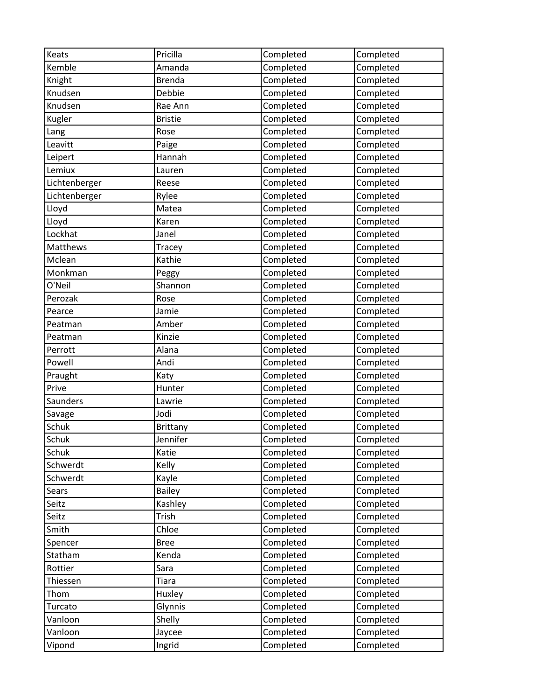| Keats           | Pricilla        | Completed | Completed |
|-----------------|-----------------|-----------|-----------|
| Kemble          | Amanda          | Completed | Completed |
| Knight          | <b>Brenda</b>   | Completed | Completed |
| Knudsen         | Debbie          | Completed | Completed |
| Knudsen         | Rae Ann         | Completed | Completed |
| Kugler          | <b>Bristie</b>  | Completed | Completed |
| Lang            | Rose            | Completed | Completed |
| Leavitt         | Paige           | Completed | Completed |
| Leipert         | Hannah          | Completed | Completed |
| Lemiux          | Lauren          | Completed | Completed |
| Lichtenberger   | Reese           | Completed | Completed |
| Lichtenberger   | Rylee           | Completed | Completed |
| Lloyd           | Matea           | Completed | Completed |
| Lloyd           | Karen           | Completed | Completed |
| Lockhat         | Janel           | Completed | Completed |
| <b>Matthews</b> | Tracey          | Completed | Completed |
| Mclean          | Kathie          | Completed | Completed |
| Monkman         | Peggy           | Completed | Completed |
| O'Neil          | Shannon         | Completed | Completed |
| Perozak         | Rose            | Completed | Completed |
| Pearce          | Jamie           | Completed | Completed |
| Peatman         | Amber           | Completed | Completed |
| Peatman         | Kinzie          | Completed | Completed |
| Perrott         | Alana           | Completed | Completed |
| Powell          | Andi            | Completed | Completed |
| Praught         | Katy            | Completed | Completed |
| Prive           | Hunter          | Completed | Completed |
| Saunders        | Lawrie          | Completed | Completed |
| Savage          | Jodi            | Completed | Completed |
| Schuk           | <b>Brittany</b> | Completed | Completed |
| Schuk           | Jennifer        | Completed | Completed |
| Schuk           | Katie           | Completed | Completed |
| Schwerdt        | Kelly           | Completed | Completed |
| Schwerdt        | Kayle           | Completed | Completed |
| Sears           | <b>Bailey</b>   | Completed | Completed |
| Seitz           | Kashley         | Completed | Completed |
| Seitz           | Trish           | Completed | Completed |
| Smith           | Chloe           | Completed | Completed |
| Spencer         | <b>Bree</b>     | Completed | Completed |
| Statham         | Kenda           | Completed | Completed |
| Rottier         | Sara            | Completed | Completed |
| Thiessen        | <b>Tiara</b>    | Completed | Completed |
| Thom            | Huxley          | Completed | Completed |
| Turcato         | Glynnis         | Completed | Completed |
| Vanloon         | Shelly          | Completed | Completed |
| Vanloon         | Jaycee          | Completed | Completed |
| Vipond          | Ingrid          | Completed | Completed |